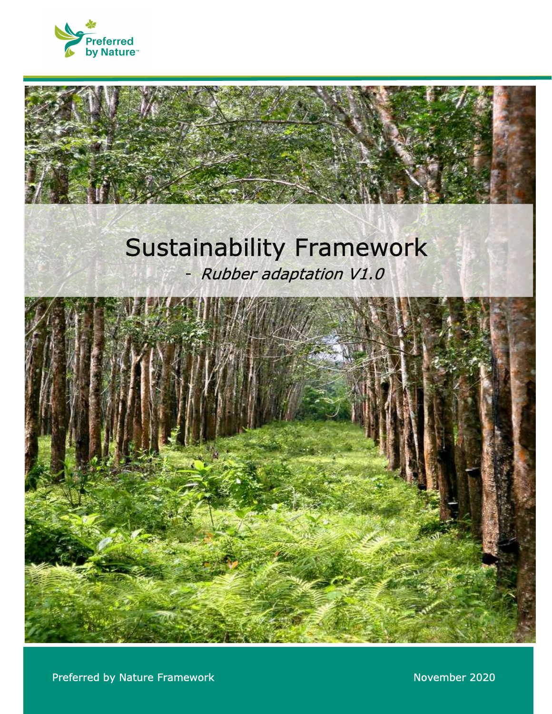

# Sustainability Framework<br>Rubber adaptation V1.0



**1** Preferred by Nature Framework **Construction International Construction International Construction Internation**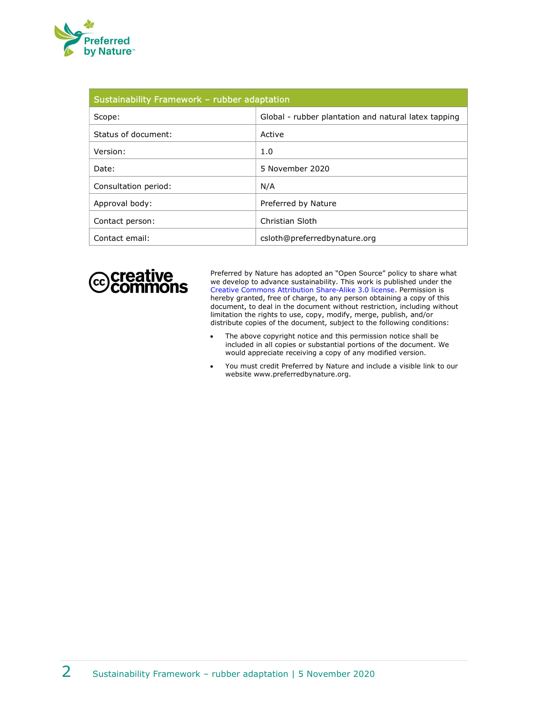

| Sustainability Framework - rubber adaptation |                                                      |
|----------------------------------------------|------------------------------------------------------|
| Scope:                                       | Global - rubber plantation and natural latex tapping |
| Status of document:                          | Active                                               |
| Version:                                     | 1.0                                                  |
| Date:                                        | 5 November 2020                                      |
| Consultation period:                         | N/A                                                  |
| Approval body:                               | Preferred by Nature                                  |
| Contact person:                              | Christian Sloth                                      |
| Contact email:                               | csloth@preferredbynature.org                         |



Preferred by Nature has adopted an "Open Source" policy to share what we develop to advance sustainability. This work is published under the Creative Commons Attribution Share-Alike 3.0 license. Permission is hereby granted, free of charge, to any person obtaining a copy of this document, to deal in the document without restriction, including without limitation the rights to use, copy, modify, merge, publish, and/or distribute copies of the document, subject to the following conditions:

- The above copyright notice and this permission notice shall be included in all copies or substantial portions of the document. We would appreciate receiving a copy of any modified version.
- You must credit Preferred by Nature and include a visible link to our website www.preferredbynature.org.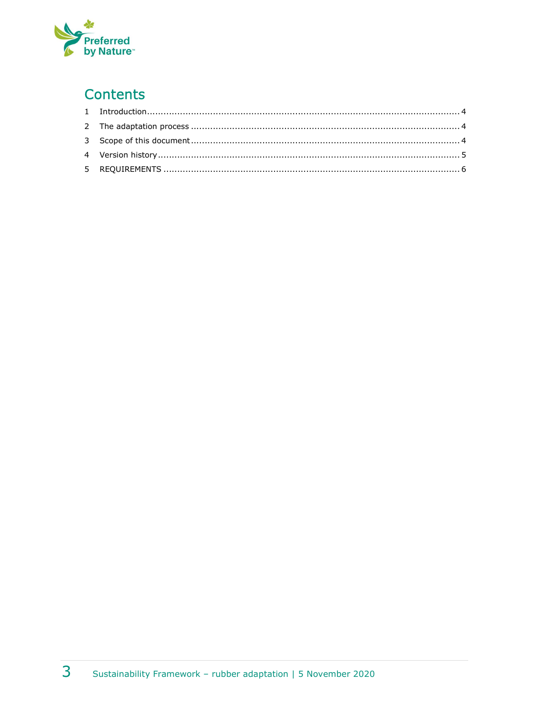

### **Contents**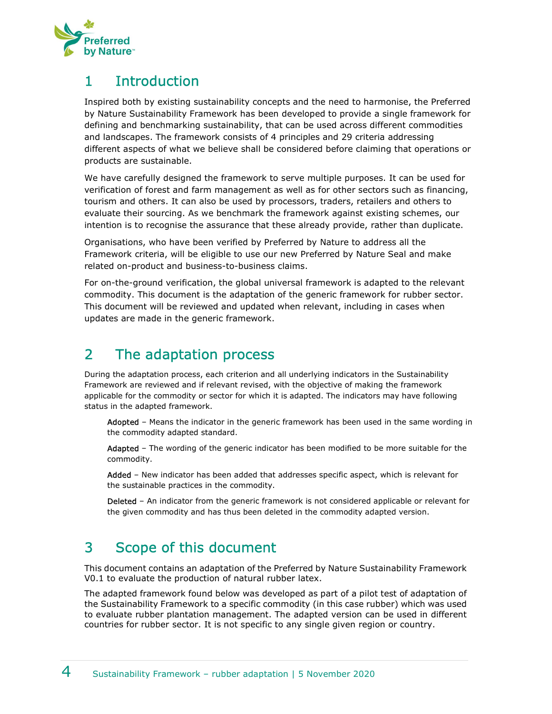

#### 1 Introduction

Inspired both by existing sustainability concepts and the need to harmonise, the Preferred by Nature Sustainability Framework has been developed to provide a single framework for defining and benchmarking sustainability, that can be used across different commodities and landscapes. The framework consists of 4 principles and 29 criteria addressing different aspects of what we believe shall be considered before claiming that operations or products are sustainable.

We have carefully designed the framework to serve multiple purposes. It can be used for verification of forest and farm management as well as for other sectors such as financing, tourism and others. It can also be used by processors, traders, retailers and others to evaluate their sourcing. As we benchmark the framework against existing schemes, our intention is to recognise the assurance that these already provide, rather than duplicate.

Organisations, who have been verified by Preferred by Nature to address all the Framework criteria, will be eligible to use our new Preferred by Nature Seal and make related on-product and business-to-business claims.

For on-the-ground verification, the global universal framework is adapted to the relevant commodity. This document is the adaptation of the generic framework for rubber sector. This document will be reviewed and updated when relevant, including in cases when updates are made in the generic framework.

#### 2 The adaptation process

During the adaptation process, each criterion and all underlying indicators in the Sustainability Framework are reviewed and if relevant revised, with the objective of making the framework applicable for the commodity or sector for which it is adapted. The indicators may have following status in the adapted framework.

Adopted - Means the indicator in the generic framework has been used in the same wording in the commodity adapted standard.

Adapted - The wording of the generic indicator has been modified to be more suitable for the commodity.

Added - New indicator has been added that addresses specific aspect, which is relevant for the sustainable practices in the commodity.

Deleted – An indicator from the generic framework is not considered applicable or relevant for the given commodity and has thus been deleted in the commodity adapted version.

#### 3 Scope of this document

This document contains an adaptation of the Preferred by Nature Sustainability Framework V0.1 to evaluate the production of natural rubber latex.

The adapted framework found below was developed as part of a pilot test of adaptation of the Sustainability Framework to a specific commodity (in this case rubber) which was used to evaluate rubber plantation management. The adapted version can be used in different countries for rubber sector. It is not specific to any single given region or country.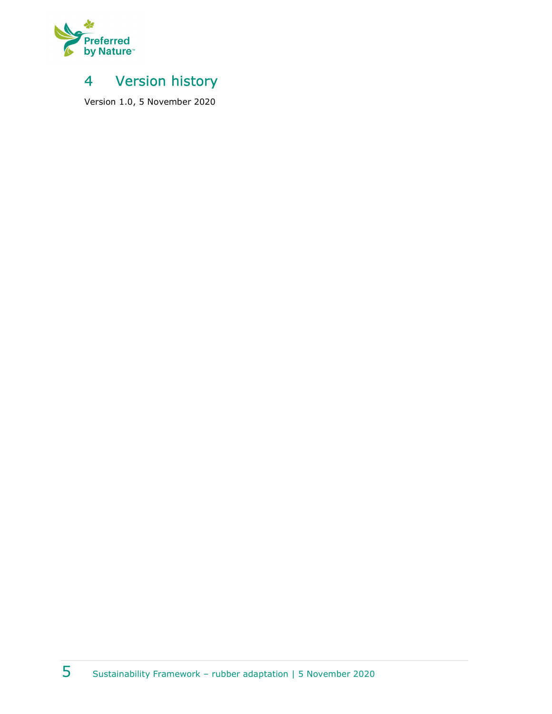

#### 4 Version history

Version 1.0, 5 November 2020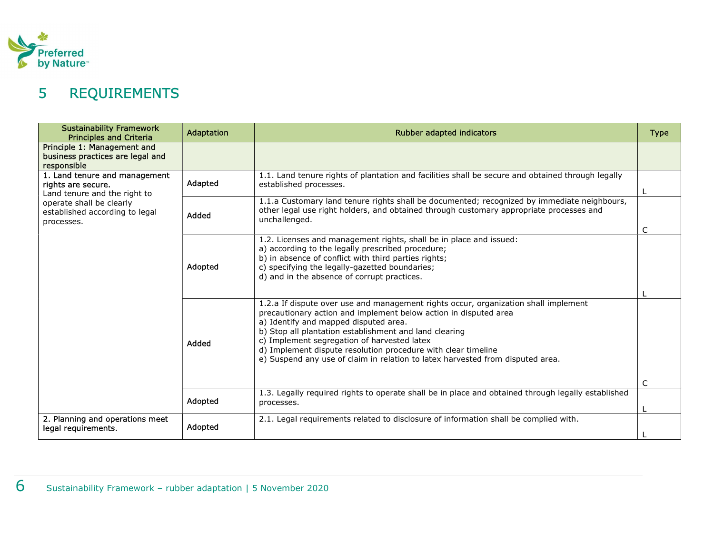

## 5 REQUIREMENTS

| <b>Sustainability Framework</b><br><b>Principles and Criteria</b>                   | Adaptation | <b>Rubber adapted indicators</b>                                                                                                                                                                                                                                                                                                                                                                                                                             | <b>Type</b> |
|-------------------------------------------------------------------------------------|------------|--------------------------------------------------------------------------------------------------------------------------------------------------------------------------------------------------------------------------------------------------------------------------------------------------------------------------------------------------------------------------------------------------------------------------------------------------------------|-------------|
| Principle 1: Management and<br>business practices are legal and<br>responsible      |            |                                                                                                                                                                                                                                                                                                                                                                                                                                                              |             |
| 1. Land tenure and management<br>rights are secure.<br>Land tenure and the right to | Adapted    | 1.1. Land tenure rights of plantation and facilities shall be secure and obtained through legally<br>established processes.                                                                                                                                                                                                                                                                                                                                  |             |
| operate shall be clearly<br>established according to legal<br>processes.            | Added      | 1.1.a Customary land tenure rights shall be documented; recognized by immediate neighbours,<br>other legal use right holders, and obtained through customary appropriate processes and<br>unchallenged.                                                                                                                                                                                                                                                      |             |
|                                                                                     | Adopted    | 1.2. Licenses and management rights, shall be in place and issued:<br>a) according to the legally prescribed procedure;<br>b) in absence of conflict with third parties rights;<br>c) specifying the legally-gazetted boundaries;<br>d) and in the absence of corrupt practices.                                                                                                                                                                             |             |
|                                                                                     | Added      | 1.2.a If dispute over use and management rights occur, organization shall implement<br>precautionary action and implement below action in disputed area<br>a) Identify and mapped disputed area.<br>b) Stop all plantation establishment and land clearing<br>c) Implement segregation of harvested latex<br>d) Implement dispute resolution procedure with clear timeline<br>e) Suspend any use of claim in relation to latex harvested from disputed area. |             |
|                                                                                     | Adopted    | 1.3. Legally required rights to operate shall be in place and obtained through legally established<br>processes.                                                                                                                                                                                                                                                                                                                                             |             |
| 2. Planning and operations meet<br>legal requirements.                              | Adopted    | 2.1. Legal requirements related to disclosure of information shall be complied with.                                                                                                                                                                                                                                                                                                                                                                         |             |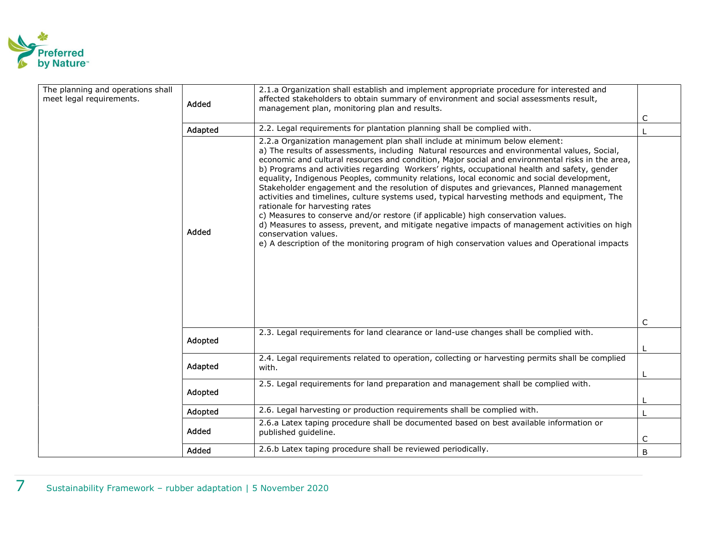

| The planning and operations shall<br>meet legal requirements. | Added   | 2.1.a Organization shall establish and implement appropriate procedure for interested and<br>affected stakeholders to obtain summary of environment and social assessments result,<br>management plan, monitoring plan and results.                                                                                                                                                                                                                                                                                                                                                                                                                                                                                                                                                                                                                                                                                                                                                                                        | C |
|---------------------------------------------------------------|---------|----------------------------------------------------------------------------------------------------------------------------------------------------------------------------------------------------------------------------------------------------------------------------------------------------------------------------------------------------------------------------------------------------------------------------------------------------------------------------------------------------------------------------------------------------------------------------------------------------------------------------------------------------------------------------------------------------------------------------------------------------------------------------------------------------------------------------------------------------------------------------------------------------------------------------------------------------------------------------------------------------------------------------|---|
|                                                               | Adapted | 2.2. Legal requirements for plantation planning shall be complied with.                                                                                                                                                                                                                                                                                                                                                                                                                                                                                                                                                                                                                                                                                                                                                                                                                                                                                                                                                    |   |
|                                                               | Added   | 2.2.a Organization management plan shall include at minimum below element:<br>a) The results of assessments, including Natural resources and environmental values, Social,<br>economic and cultural resources and condition, Major social and environmental risks in the area,<br>b) Programs and activities regarding Workers' rights, occupational health and safety, gender<br>equality, Indigenous Peoples, community relations, local economic and social development,<br>Stakeholder engagement and the resolution of disputes and grievances, Planned management<br>activities and timelines, culture systems used, typical harvesting methods and equipment, The<br>rationale for harvesting rates<br>c) Measures to conserve and/or restore (if applicable) high conservation values.<br>d) Measures to assess, prevent, and mitigate negative impacts of management activities on high<br>conservation values.<br>e) A description of the monitoring program of high conservation values and Operational impacts | C |
|                                                               |         | 2.3. Legal requirements for land clearance or land-use changes shall be complied with.                                                                                                                                                                                                                                                                                                                                                                                                                                                                                                                                                                                                                                                                                                                                                                                                                                                                                                                                     |   |
|                                                               | Adopted |                                                                                                                                                                                                                                                                                                                                                                                                                                                                                                                                                                                                                                                                                                                                                                                                                                                                                                                                                                                                                            |   |
|                                                               | Adapted | 2.4. Legal requirements related to operation, collecting or harvesting permits shall be complied<br>with.                                                                                                                                                                                                                                                                                                                                                                                                                                                                                                                                                                                                                                                                                                                                                                                                                                                                                                                  |   |
|                                                               | Adopted | 2.5. Legal requirements for land preparation and management shall be complied with.                                                                                                                                                                                                                                                                                                                                                                                                                                                                                                                                                                                                                                                                                                                                                                                                                                                                                                                                        |   |
|                                                               | Adopted | 2.6. Legal harvesting or production requirements shall be complied with.                                                                                                                                                                                                                                                                                                                                                                                                                                                                                                                                                                                                                                                                                                                                                                                                                                                                                                                                                   |   |
|                                                               | Added   | 2.6.a Latex taping procedure shall be documented based on best available information or<br>published guideline.                                                                                                                                                                                                                                                                                                                                                                                                                                                                                                                                                                                                                                                                                                                                                                                                                                                                                                            | C |
|                                                               | Added   | 2.6.b Latex taping procedure shall be reviewed periodically.                                                                                                                                                                                                                                                                                                                                                                                                                                                                                                                                                                                                                                                                                                                                                                                                                                                                                                                                                               | B |
|                                                               |         |                                                                                                                                                                                                                                                                                                                                                                                                                                                                                                                                                                                                                                                                                                                                                                                                                                                                                                                                                                                                                            |   |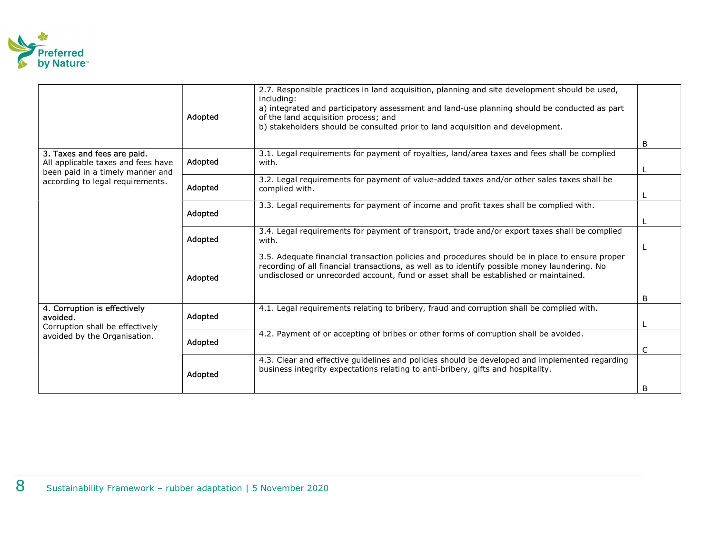

|                                                                                                       | Adopted | 2.7. Responsible practices in land acquisition, planning and site development should be used,<br>including:<br>a) integrated and participatory assessment and land-use planning should be conducted as part<br>of the land acquisition process; and<br>b) stakeholders should be consulted prior to land acquisition and development. |   |
|-------------------------------------------------------------------------------------------------------|---------|---------------------------------------------------------------------------------------------------------------------------------------------------------------------------------------------------------------------------------------------------------------------------------------------------------------------------------------|---|
|                                                                                                       |         |                                                                                                                                                                                                                                                                                                                                       | B |
| 3. Taxes and fees are paid.<br>All applicable taxes and fees have<br>been paid in a timely manner and | Adopted | 3.1. Legal requirements for payment of royalties, land/area taxes and fees shall be complied<br>with.                                                                                                                                                                                                                                 |   |
| according to legal requirements.                                                                      | Adopted | 3.2. Legal requirements for payment of value-added taxes and/or other sales taxes shall be<br>complied with.                                                                                                                                                                                                                          |   |
|                                                                                                       | Adopted | 3.3. Legal requirements for payment of income and profit taxes shall be complied with.                                                                                                                                                                                                                                                |   |
|                                                                                                       | Adopted | 3.4. Legal requirements for payment of transport, trade and/or export taxes shall be complied<br>with.                                                                                                                                                                                                                                |   |
|                                                                                                       | Adopted | 3.5. Adequate financial transaction policies and procedures should be in place to ensure proper<br>recording of all financial transactions, as well as to identify possible money laundering. No<br>undisclosed or unrecorded account, fund or asset shall be established or maintained.                                              |   |
|                                                                                                       |         |                                                                                                                                                                                                                                                                                                                                       | B |
| 4. Corruption is effectively<br>avoided.<br>Corruption shall be effectively                           | Adopted | 4.1. Legal requirements relating to bribery, fraud and corruption shall be complied with.                                                                                                                                                                                                                                             |   |
| avoided by the Organisation.                                                                          | Adopted | 4.2. Payment of or accepting of bribes or other forms of corruption shall be avoided.                                                                                                                                                                                                                                                 | C |
|                                                                                                       | Adopted | 4.3. Clear and effective guidelines and policies should be developed and implemented regarding<br>business integrity expectations relating to anti-bribery, gifts and hospitality.                                                                                                                                                    |   |
|                                                                                                       |         |                                                                                                                                                                                                                                                                                                                                       | B |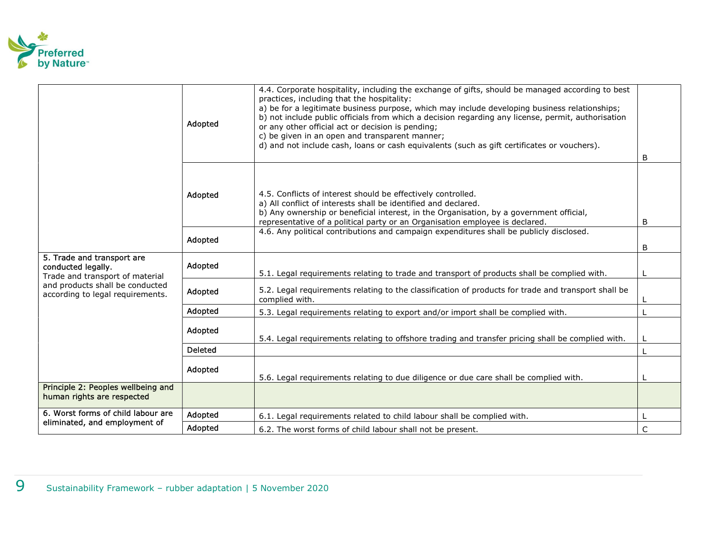

|                                                                                     | Adopted        | 4.4. Corporate hospitality, including the exchange of gifts, should be managed according to best<br>practices, including that the hospitality:<br>a) be for a legitimate business purpose, which may include developing business relationships;<br>b) not include public officials from which a decision regarding any license, permit, authorisation<br>or any other official act or decision is pending;<br>c) be given in an open and transparent manner;<br>d) and not include cash, loans or cash equivalents (such as gift certificates or vouchers). |              |
|-------------------------------------------------------------------------------------|----------------|-------------------------------------------------------------------------------------------------------------------------------------------------------------------------------------------------------------------------------------------------------------------------------------------------------------------------------------------------------------------------------------------------------------------------------------------------------------------------------------------------------------------------------------------------------------|--------------|
|                                                                                     | Adopted        | 4.5. Conflicts of interest should be effectively controlled.<br>a) All conflict of interests shall be identified and declared.<br>b) Any ownership or beneficial interest, in the Organisation, by a government official,<br>representative of a political party or an Organisation employee is declared.                                                                                                                                                                                                                                                   | B<br>B       |
|                                                                                     | Adopted        | 4.6. Any political contributions and campaign expenditures shall be publicly disclosed.                                                                                                                                                                                                                                                                                                                                                                                                                                                                     | B            |
| 5. Trade and transport are<br>conducted legally.<br>Trade and transport of material | Adopted        | 5.1. Legal requirements relating to trade and transport of products shall be complied with.                                                                                                                                                                                                                                                                                                                                                                                                                                                                 |              |
| and products shall be conducted<br>according to legal requirements.                 | Adopted        | 5.2. Legal requirements relating to the classification of products for trade and transport shall be<br>complied with.                                                                                                                                                                                                                                                                                                                                                                                                                                       |              |
|                                                                                     | Adopted        | 5.3. Legal requirements relating to export and/or import shall be complied with.                                                                                                                                                                                                                                                                                                                                                                                                                                                                            |              |
|                                                                                     | Adopted        | 5.4. Legal requirements relating to offshore trading and transfer pricing shall be complied with.                                                                                                                                                                                                                                                                                                                                                                                                                                                           |              |
|                                                                                     | <b>Deleted</b> |                                                                                                                                                                                                                                                                                                                                                                                                                                                                                                                                                             |              |
|                                                                                     | Adopted        | 5.6. Legal requirements relating to due diligence or due care shall be complied with.                                                                                                                                                                                                                                                                                                                                                                                                                                                                       |              |
| Principle 2: Peoples wellbeing and<br>human rights are respected                    |                |                                                                                                                                                                                                                                                                                                                                                                                                                                                                                                                                                             |              |
| 6. Worst forms of child labour are                                                  | Adopted        | 6.1. Legal requirements related to child labour shall be complied with.                                                                                                                                                                                                                                                                                                                                                                                                                                                                                     |              |
| eliminated, and employment of                                                       | Adopted        | 6.2. The worst forms of child labour shall not be present.                                                                                                                                                                                                                                                                                                                                                                                                                                                                                                  | $\mathsf{C}$ |
|                                                                                     |                |                                                                                                                                                                                                                                                                                                                                                                                                                                                                                                                                                             |              |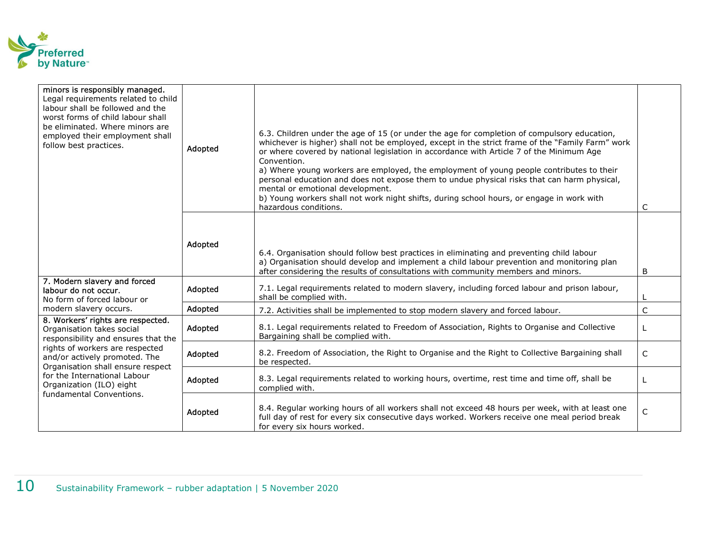

| minors is responsibly managed.<br>Legal requirements related to child<br>labour shall be followed and the<br>worst forms of child labour shall<br>be eliminated. Where minors are<br>employed their employment shall<br>follow best practices. | Adopted | 6.3. Children under the age of 15 (or under the age for completion of compulsory education,<br>whichever is higher) shall not be employed, except in the strict frame of the "Family Farm" work<br>or where covered by national legislation in accordance with Article 7 of the Minimum Age<br>Convention.<br>a) Where young workers are employed, the employment of young people contributes to their<br>personal education and does not expose them to undue physical risks that can harm physical,<br>mental or emotional development.<br>b) Young workers shall not work night shifts, during school hours, or engage in work with<br>hazardous conditions. |                |
|------------------------------------------------------------------------------------------------------------------------------------------------------------------------------------------------------------------------------------------------|---------|-----------------------------------------------------------------------------------------------------------------------------------------------------------------------------------------------------------------------------------------------------------------------------------------------------------------------------------------------------------------------------------------------------------------------------------------------------------------------------------------------------------------------------------------------------------------------------------------------------------------------------------------------------------------|----------------|
|                                                                                                                                                                                                                                                | Adopted | 6.4. Organisation should follow best practices in eliminating and preventing child labour<br>a) Organisation should develop and implement a child labour prevention and monitoring plan<br>after considering the results of consultations with community members and minors.                                                                                                                                                                                                                                                                                                                                                                                    | B              |
| 7. Modern slavery and forced<br>labour do not occur.<br>No form of forced labour or                                                                                                                                                            | Adopted | 7.1. Legal requirements related to modern slavery, including forced labour and prison labour,<br>shall be complied with.                                                                                                                                                                                                                                                                                                                                                                                                                                                                                                                                        |                |
| modern slavery occurs.                                                                                                                                                                                                                         | Adopted | 7.2. Activities shall be implemented to stop modern slavery and forced labour.                                                                                                                                                                                                                                                                                                                                                                                                                                                                                                                                                                                  | C              |
| 8. Workers' rights are respected.<br>Organisation takes social<br>responsibility and ensures that the                                                                                                                                          | Adopted | 8.1. Legal requirements related to Freedom of Association, Rights to Organise and Collective<br>Bargaining shall be complied with.                                                                                                                                                                                                                                                                                                                                                                                                                                                                                                                              |                |
| rights of workers are respected<br>and/or actively promoted. The<br>Organisation shall ensure respect                                                                                                                                          | Adopted | 8.2. Freedom of Association, the Right to Organise and the Right to Collective Bargaining shall<br>be respected.                                                                                                                                                                                                                                                                                                                                                                                                                                                                                                                                                | C              |
| for the International Labour<br>Organization (ILO) eight<br>fundamental Conventions.                                                                                                                                                           | Adopted | 8.3. Legal requirements related to working hours, overtime, rest time and time off, shall be<br>complied with.                                                                                                                                                                                                                                                                                                                                                                                                                                                                                                                                                  |                |
|                                                                                                                                                                                                                                                | Adopted | 8.4. Regular working hours of all workers shall not exceed 48 hours per week, with at least one<br>full day of rest for every six consecutive days worked. Workers receive one meal period break<br>for every six hours worked.                                                                                                                                                                                                                                                                                                                                                                                                                                 | $\overline{C}$ |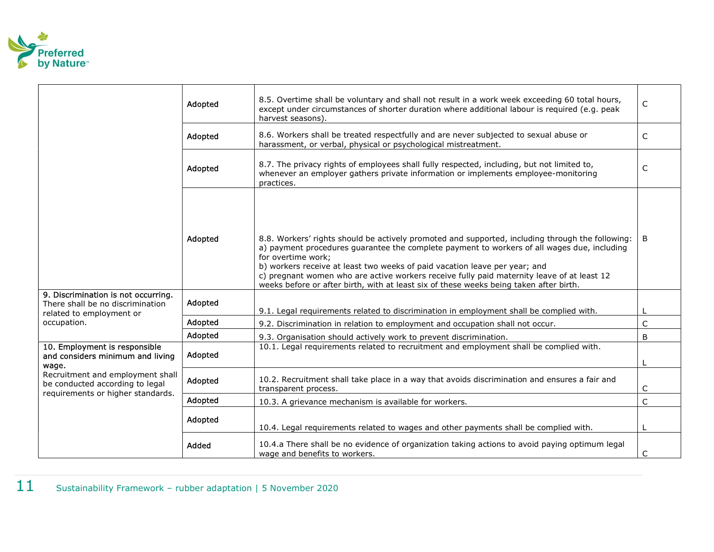

|                                                                                                          | Adopted | 8.5. Overtime shall be voluntary and shall not result in a work week exceeding 60 total hours,<br>except under circumstances of shorter duration where additional labour is required (e.g. peak<br>harvest seasons).                                                                                                                                                                                                                                                                        | $\mathsf C$  |
|----------------------------------------------------------------------------------------------------------|---------|---------------------------------------------------------------------------------------------------------------------------------------------------------------------------------------------------------------------------------------------------------------------------------------------------------------------------------------------------------------------------------------------------------------------------------------------------------------------------------------------|--------------|
|                                                                                                          | Adopted | 8.6. Workers shall be treated respectfully and are never subjected to sexual abuse or<br>harassment, or verbal, physical or psychological mistreatment.                                                                                                                                                                                                                                                                                                                                     | $\mathsf C$  |
|                                                                                                          | Adopted | 8.7. The privacy rights of employees shall fully respected, including, but not limited to,<br>whenever an employer gathers private information or implements employee-monitoring<br>practices.                                                                                                                                                                                                                                                                                              | $\mathsf C$  |
|                                                                                                          | Adopted | 8.8. Workers' rights should be actively promoted and supported, including through the following:<br>a) payment procedures guarantee the complete payment to workers of all wages due, including<br>for overtime work;<br>b) workers receive at least two weeks of paid vacation leave per year; and<br>c) pregnant women who are active workers receive fully paid maternity leave of at least 12<br>weeks before or after birth, with at least six of these weeks being taken after birth. | B            |
| 9. Discrimination is not occurring.<br>There shall be no discrimination<br>related to employment or      | Adopted | 9.1. Legal requirements related to discrimination in employment shall be complied with.                                                                                                                                                                                                                                                                                                                                                                                                     |              |
| occupation.                                                                                              | Adopted | 9.2. Discrimination in relation to employment and occupation shall not occur.                                                                                                                                                                                                                                                                                                                                                                                                               | $\mathsf C$  |
|                                                                                                          | Adopted | 9.3. Organisation should actively work to prevent discrimination.                                                                                                                                                                                                                                                                                                                                                                                                                           | B            |
| 10. Employment is responsible<br>and considers minimum and living<br>wage.                               | Adopted | 10.1. Legal requirements related to recruitment and employment shall be complied with.                                                                                                                                                                                                                                                                                                                                                                                                      |              |
| Recruitment and employment shall<br>be conducted according to legal<br>requirements or higher standards. | Adopted | 10.2. Recruitment shall take place in a way that avoids discrimination and ensures a fair and<br>transparent process.                                                                                                                                                                                                                                                                                                                                                                       | C            |
|                                                                                                          | Adopted | 10.3. A grievance mechanism is available for workers.                                                                                                                                                                                                                                                                                                                                                                                                                                       | $\mathsf{C}$ |
|                                                                                                          | Adopted | 10.4. Legal requirements related to wages and other payments shall be complied with.                                                                                                                                                                                                                                                                                                                                                                                                        | L            |
|                                                                                                          | Added   | 10.4.a There shall be no evidence of organization taking actions to avoid paying optimum legal<br>wage and benefits to workers.                                                                                                                                                                                                                                                                                                                                                             | C            |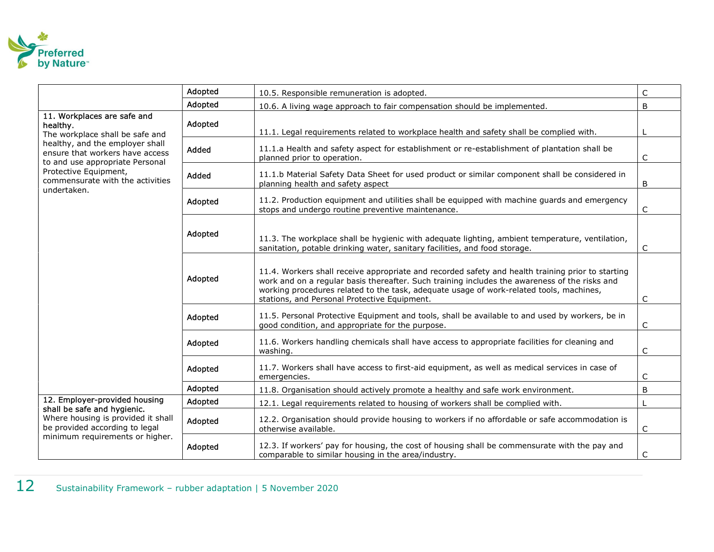

|                                                                                                       | Adopted | 10.5. Responsible remuneration is adopted.                                                                                                                                                                                                                                                                                                    | C            |
|-------------------------------------------------------------------------------------------------------|---------|-----------------------------------------------------------------------------------------------------------------------------------------------------------------------------------------------------------------------------------------------------------------------------------------------------------------------------------------------|--------------|
|                                                                                                       | Adopted | 10.6. A living wage approach to fair compensation should be implemented.                                                                                                                                                                                                                                                                      | B            |
| 11. Workplaces are safe and<br>healthy.<br>The workplace shall be safe and                            | Adopted | 11.1. Legal requirements related to workplace health and safety shall be complied with.                                                                                                                                                                                                                                                       |              |
| healthy, and the employer shall<br>ensure that workers have access<br>to and use appropriate Personal | Added   | 11.1.a Health and safety aspect for establishment or re-establishment of plantation shall be<br>planned prior to operation.                                                                                                                                                                                                                   | C            |
| Protective Equipment,<br>commensurate with the activities<br>undertaken.                              | Added   | 11.1.b Material Safety Data Sheet for used product or similar component shall be considered in<br>planning health and safety aspect                                                                                                                                                                                                           | B            |
|                                                                                                       | Adopted | 11.2. Production equipment and utilities shall be equipped with machine guards and emergency<br>stops and undergo routine preventive maintenance.                                                                                                                                                                                             | C            |
|                                                                                                       | Adopted | 11.3. The workplace shall be hygienic with adequate lighting, ambient temperature, ventilation,<br>sanitation, potable drinking water, sanitary facilities, and food storage.                                                                                                                                                                 | $\mathsf C$  |
|                                                                                                       | Adopted | 11.4. Workers shall receive appropriate and recorded safety and health training prior to starting<br>work and on a regular basis thereafter. Such training includes the awareness of the risks and<br>working procedures related to the task, adequate usage of work-related tools, machines,<br>stations, and Personal Protective Equipment. | C            |
|                                                                                                       | Adopted | 11.5. Personal Protective Equipment and tools, shall be available to and used by workers, be in<br>good condition, and appropriate for the purpose.                                                                                                                                                                                           | $\mathsf{C}$ |
|                                                                                                       | Adopted | 11.6. Workers handling chemicals shall have access to appropriate facilities for cleaning and<br>washing.                                                                                                                                                                                                                                     | C            |
|                                                                                                       | Adopted | 11.7. Workers shall have access to first-aid equipment, as well as medical services in case of<br>emergencies.                                                                                                                                                                                                                                | C            |
|                                                                                                       | Adopted | 11.8. Organisation should actively promote a healthy and safe work environment.                                                                                                                                                                                                                                                               | B            |
| 12. Employer-provided housing                                                                         | Adopted | 12.1. Legal requirements related to housing of workers shall be complied with.                                                                                                                                                                                                                                                                |              |
| shall be safe and hygienic.<br>Where housing is provided it shall<br>be provided according to legal   | Adopted | 12.2. Organisation should provide housing to workers if no affordable or safe accommodation is<br>otherwise available.                                                                                                                                                                                                                        | $\mathsf C$  |
| minimum requirements or higher.                                                                       | Adopted | 12.3. If workers' pay for housing, the cost of housing shall be commensurate with the pay and<br>comparable to similar housing in the area/industry.                                                                                                                                                                                          | C            |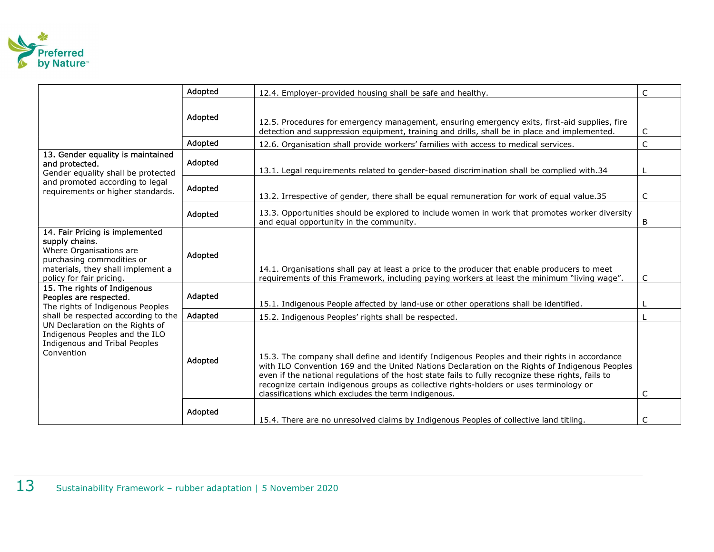

|                                                                                                                  |                                                                                                                                                                            | Adopted                                                                                                                                                                                                                                                                                                                                                                                                                                                 | 12.4. Employer-provided housing shall be safe and healthy.                                                                                                                                    | $\mathsf C$ |
|------------------------------------------------------------------------------------------------------------------|----------------------------------------------------------------------------------------------------------------------------------------------------------------------------|---------------------------------------------------------------------------------------------------------------------------------------------------------------------------------------------------------------------------------------------------------------------------------------------------------------------------------------------------------------------------------------------------------------------------------------------------------|-----------------------------------------------------------------------------------------------------------------------------------------------------------------------------------------------|-------------|
|                                                                                                                  |                                                                                                                                                                            | Adopted                                                                                                                                                                                                                                                                                                                                                                                                                                                 | 12.5. Procedures for emergency management, ensuring emergency exits, first-aid supplies, fire<br>detection and suppression equipment, training and drills, shall be in place and implemented. | C           |
|                                                                                                                  |                                                                                                                                                                            | Adopted                                                                                                                                                                                                                                                                                                                                                                                                                                                 | 12.6. Organisation shall provide workers' families with access to medical services.                                                                                                           | C           |
|                                                                                                                  | 13. Gender equality is maintained<br>and protected.<br>Gender equality shall be protected                                                                                  | Adopted                                                                                                                                                                                                                                                                                                                                                                                                                                                 | 13.1. Legal requirements related to gender-based discrimination shall be complied with.34                                                                                                     |             |
|                                                                                                                  | and promoted according to legal<br>requirements or higher standards.                                                                                                       | Adopted                                                                                                                                                                                                                                                                                                                                                                                                                                                 | 13.2. Irrespective of gender, there shall be equal remuneration for work of equal value.35                                                                                                    | $\mathsf C$ |
|                                                                                                                  |                                                                                                                                                                            | Adopted                                                                                                                                                                                                                                                                                                                                                                                                                                                 | 13.3. Opportunities should be explored to include women in work that promotes worker diversity<br>and equal opportunity in the community.                                                     | B           |
|                                                                                                                  | 14. Fair Pricing is implemented<br>supply chains.<br>Where Organisations are<br>purchasing commodities or<br>materials, they shall implement a<br>policy for fair pricing. | Adopted                                                                                                                                                                                                                                                                                                                                                                                                                                                 | 14.1. Organisations shall pay at least a price to the producer that enable producers to meet<br>requirements of this Framework, including paying workers at least the minimum "living wage".  | C           |
|                                                                                                                  | 15. The rights of Indigenous<br>Peoples are respected.<br>The rights of Indigenous Peoples                                                                                 | Adapted                                                                                                                                                                                                                                                                                                                                                                                                                                                 | 15.1. Indigenous People affected by land-use or other operations shall be identified.                                                                                                         |             |
|                                                                                                                  | shall be respected according to the                                                                                                                                        | Adapted                                                                                                                                                                                                                                                                                                                                                                                                                                                 | 15.2. Indigenous Peoples' rights shall be respected.                                                                                                                                          |             |
| UN Declaration on the Rights of<br>Indigenous Peoples and the ILO<br>Indigenous and Tribal Peoples<br>Convention | Adopted                                                                                                                                                                    | 15.3. The company shall define and identify Indigenous Peoples and their rights in accordance<br>with ILO Convention 169 and the United Nations Declaration on the Rights of Indigenous Peoples<br>even if the national regulations of the host state fails to fully recognize these rights, fails to<br>recognize certain indigenous groups as collective rights-holders or uses terminology or<br>classifications which excludes the term indigenous. | C                                                                                                                                                                                             |             |
|                                                                                                                  |                                                                                                                                                                            | Adopted                                                                                                                                                                                                                                                                                                                                                                                                                                                 | 15.4. There are no unresolved claims by Indigenous Peoples of collective land titling.                                                                                                        | C           |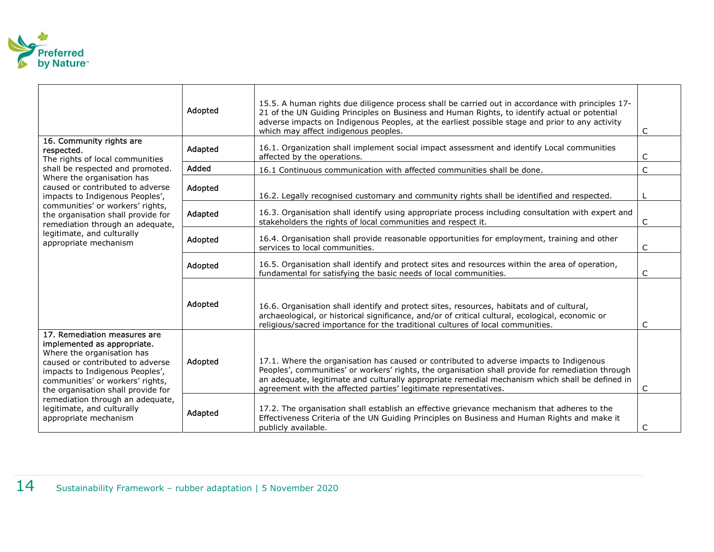

|                                                                                                                                                                                                                                                                                                                                       | Adopted                                                                                                    | 15.5. A human rights due diligence process shall be carried out in accordance with principles 17-<br>21 of the UN Guiding Principles on Business and Human Rights, to identify actual or potential<br>adverse impacts on Indigenous Peoples, at the earliest possible stage and prior to any activity<br>which may affect indigenous peoples.                       | C                                                                                                                                                                                                                                                                               |              |  |
|---------------------------------------------------------------------------------------------------------------------------------------------------------------------------------------------------------------------------------------------------------------------------------------------------------------------------------------|------------------------------------------------------------------------------------------------------------|---------------------------------------------------------------------------------------------------------------------------------------------------------------------------------------------------------------------------------------------------------------------------------------------------------------------------------------------------------------------|---------------------------------------------------------------------------------------------------------------------------------------------------------------------------------------------------------------------------------------------------------------------------------|--------------|--|
| respected.                                                                                                                                                                                                                                                                                                                            | 16. Community rights are<br>The rights of local communities                                                | Adapted                                                                                                                                                                                                                                                                                                                                                             | 16.1. Organization shall implement social impact assessment and identify Local communities<br>affected by the operations.                                                                                                                                                       | C            |  |
|                                                                                                                                                                                                                                                                                                                                       | shall be respected and promoted.                                                                           | Added                                                                                                                                                                                                                                                                                                                                                               | 16.1 Continuous communication with affected communities shall be done.                                                                                                                                                                                                          | C            |  |
|                                                                                                                                                                                                                                                                                                                                       | Where the organisation has<br>caused or contributed to adverse<br>impacts to Indigenous Peoples',          | Adopted                                                                                                                                                                                                                                                                                                                                                             | 16.2. Legally recognised customary and community rights shall be identified and respected.                                                                                                                                                                                      |              |  |
|                                                                                                                                                                                                                                                                                                                                       | communities' or workers' rights,<br>the organisation shall provide for<br>remediation through an adequate, | Adapted                                                                                                                                                                                                                                                                                                                                                             | 16.3. Organisation shall identify using appropriate process including consultation with expert and<br>stakeholders the rights of local communities and respect it.                                                                                                              | C            |  |
|                                                                                                                                                                                                                                                                                                                                       | legitimate, and culturally<br>appropriate mechanism                                                        | Adopted                                                                                                                                                                                                                                                                                                                                                             | 16.4. Organisation shall provide reasonable opportunities for employment, training and other<br>services to local communities.                                                                                                                                                  | C            |  |
|                                                                                                                                                                                                                                                                                                                                       |                                                                                                            | Adopted                                                                                                                                                                                                                                                                                                                                                             | 16.5. Organisation shall identify and protect sites and resources within the area of operation,<br>fundamental for satisfying the basic needs of local communities.                                                                                                             | $\mathsf{C}$ |  |
|                                                                                                                                                                                                                                                                                                                                       |                                                                                                            | Adopted                                                                                                                                                                                                                                                                                                                                                             | 16.6. Organisation shall identify and protect sites, resources, habitats and of cultural,<br>archaeological, or historical significance, and/or of critical cultural, ecological, economic or<br>religious/sacred importance for the traditional cultures of local communities. | C            |  |
| 17. Remediation measures are<br>implemented as appropriate.<br>Where the organisation has<br>caused or contributed to adverse<br>impacts to Indigenous Peoples',<br>communities' or workers' rights,<br>the organisation shall provide for<br>remediation through an adequate,<br>legitimate, and culturally<br>appropriate mechanism | Adopted                                                                                                    | 17.1. Where the organisation has caused or contributed to adverse impacts to Indigenous<br>Peoples', communities' or workers' rights, the organisation shall provide for remediation through<br>an adequate, legitimate and culturally appropriate remedial mechanism which shall be defined in<br>agreement with the affected parties' legitimate representatives. | C                                                                                                                                                                                                                                                                               |              |  |
|                                                                                                                                                                                                                                                                                                                                       | Adapted                                                                                                    | 17.2. The organisation shall establish an effective grievance mechanism that adheres to the<br>Effectiveness Criteria of the UN Guiding Principles on Business and Human Rights and make it<br>publicly available.                                                                                                                                                  | C                                                                                                                                                                                                                                                                               |              |  |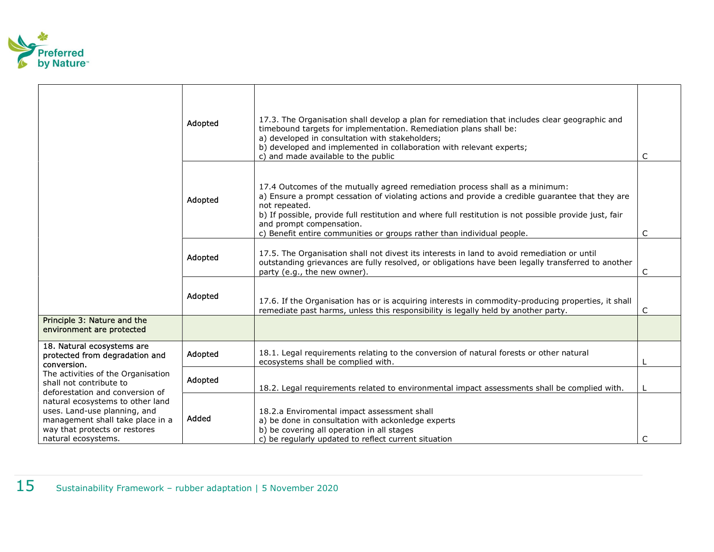

|                                                                                                                                                              | Adopted | 17.3. The Organisation shall develop a plan for remediation that includes clear geographic and<br>timebound targets for implementation. Remediation plans shall be:<br>a) developed in consultation with stakeholders;<br>b) developed and implemented in collaboration with relevant experts;<br>c) and made available to the public                                                                             | C |
|--------------------------------------------------------------------------------------------------------------------------------------------------------------|---------|-------------------------------------------------------------------------------------------------------------------------------------------------------------------------------------------------------------------------------------------------------------------------------------------------------------------------------------------------------------------------------------------------------------------|---|
|                                                                                                                                                              | Adopted | 17.4 Outcomes of the mutually agreed remediation process shall as a minimum:<br>a) Ensure a prompt cessation of violating actions and provide a credible guarantee that they are<br>not repeated.<br>b) If possible, provide full restitution and where full restitution is not possible provide just, fair<br>and prompt compensation.<br>c) Benefit entire communities or groups rather than individual people. | C |
|                                                                                                                                                              | Adopted | 17.5. The Organisation shall not divest its interests in land to avoid remediation or until<br>outstanding grievances are fully resolved, or obligations have been legally transferred to another<br>party (e.g., the new owner).                                                                                                                                                                                 | C |
|                                                                                                                                                              | Adopted | 17.6. If the Organisation has or is acquiring interests in commodity-producing properties, it shall<br>remediate past harms, unless this responsibility is legally held by another party.                                                                                                                                                                                                                         | C |
| Principle 3: Nature and the<br>environment are protected                                                                                                     |         |                                                                                                                                                                                                                                                                                                                                                                                                                   |   |
| 18. Natural ecosystems are<br>protected from degradation and<br>conversion.                                                                                  | Adopted | 18.1. Legal requirements relating to the conversion of natural forests or other natural<br>ecosystems shall be complied with.                                                                                                                                                                                                                                                                                     |   |
| The activities of the Organisation<br>shall not contribute to<br>deforestation and conversion of                                                             | Adopted | 18.2. Legal requirements related to environmental impact assessments shall be complied with.                                                                                                                                                                                                                                                                                                                      |   |
| natural ecosystems to other land<br>uses. Land-use planning, and<br>management shall take place in a<br>way that protects or restores<br>natural ecosystems. | Added   | 18.2.a Enviromental impact assessment shall<br>a) be done in consultation with ackonledge experts<br>b) be covering all operation in all stages<br>c) be regularly updated to reflect current situation                                                                                                                                                                                                           | C |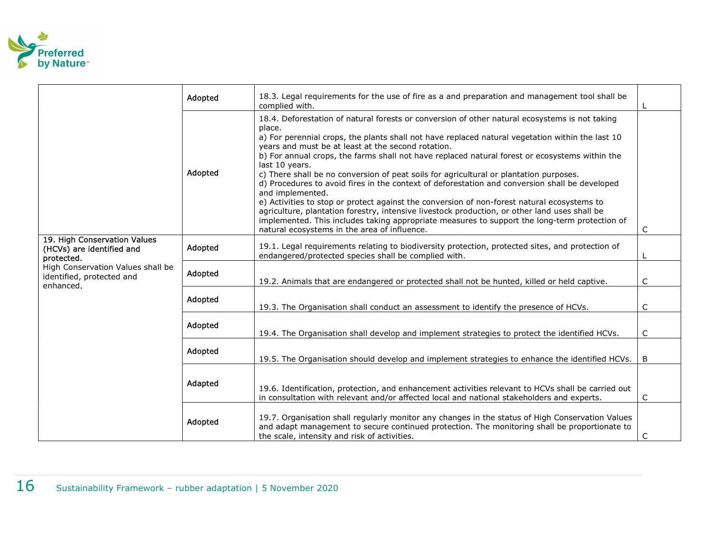

|                                                                             | Adopted | 18.3. Legal requirements for the use of fire as a and preparation and management tool shall be<br>complied with.                                                                                                                                                                                                                                                                                                                                                                                                                                                                                                                                                                                                                                                                                                                                                                                                                                        |   |
|-----------------------------------------------------------------------------|---------|---------------------------------------------------------------------------------------------------------------------------------------------------------------------------------------------------------------------------------------------------------------------------------------------------------------------------------------------------------------------------------------------------------------------------------------------------------------------------------------------------------------------------------------------------------------------------------------------------------------------------------------------------------------------------------------------------------------------------------------------------------------------------------------------------------------------------------------------------------------------------------------------------------------------------------------------------------|---|
|                                                                             | Adopted | 18.4. Deforestation of natural forests or conversion of other natural ecosystems is not taking<br>place.<br>a) For perennial crops, the plants shall not have replaced natural vegetation within the last 10<br>years and must be at least at the second rotation.<br>b) For annual crops, the farms shall not have replaced natural forest or ecosystems within the<br>last 10 years.<br>c) There shall be no conversion of peat soils for agricultural or plantation purposes.<br>d) Procedures to avoid fires in the context of deforestation and conversion shall be developed<br>and implemented.<br>e) Activities to stop or protect against the conversion of non-forest natural ecosystems to<br>agriculture, plantation forestry, intensive livestock production, or other land uses shall be<br>implemented. This includes taking appropriate measures to support the long-term protection of<br>natural ecosystems in the area of influence. | C |
| 19. High Conservation Values<br>(HCVs) are identified and<br>protected.     | Adopted | 19.1. Legal requirements relating to biodiversity protection, protected sites, and protection of<br>endangered/protected species shall be complied with.                                                                                                                                                                                                                                                                                                                                                                                                                                                                                                                                                                                                                                                                                                                                                                                                |   |
| High Conservation Values shall be<br>identified, protected and<br>enhanced. | Adopted | 19.2. Animals that are endangered or protected shall not be hunted, killed or held captive.                                                                                                                                                                                                                                                                                                                                                                                                                                                                                                                                                                                                                                                                                                                                                                                                                                                             | C |
|                                                                             | Adopted | 19.3. The Organisation shall conduct an assessment to identify the presence of HCVs.                                                                                                                                                                                                                                                                                                                                                                                                                                                                                                                                                                                                                                                                                                                                                                                                                                                                    | C |
|                                                                             | Adopted | 19.4. The Organisation shall develop and implement strategies to protect the identified HCVs.                                                                                                                                                                                                                                                                                                                                                                                                                                                                                                                                                                                                                                                                                                                                                                                                                                                           | C |
|                                                                             | Adopted | 19.5. The Organisation should develop and implement strategies to enhance the identified HCVs.   B                                                                                                                                                                                                                                                                                                                                                                                                                                                                                                                                                                                                                                                                                                                                                                                                                                                      |   |
|                                                                             | Adapted | 19.6. Identification, protection, and enhancement activities relevant to HCVs shall be carried out<br>in consultation with relevant and/or affected local and national stakeholders and experts.                                                                                                                                                                                                                                                                                                                                                                                                                                                                                                                                                                                                                                                                                                                                                        | C |
|                                                                             | Adopted | 19.7. Organisation shall regularly monitor any changes in the status of High Conservation Values<br>and adapt management to secure continued protection. The monitoring shall be proportionate to<br>the scale, intensity and risk of activities.                                                                                                                                                                                                                                                                                                                                                                                                                                                                                                                                                                                                                                                                                                       | C |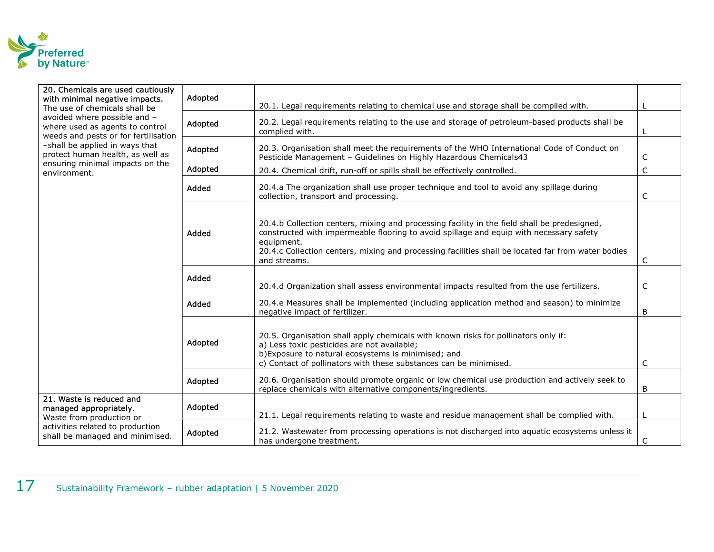

| 20. Chemicals are used cautiously<br>Adopted<br>with minimal negative impacts.<br>20.1. Legal requirements relating to chemical use and storage shall be complied with.<br>The use of chemicals shall be<br>avoided where possible and -<br>Adopted<br>where used as agents to control<br>complied with.<br>weeds and pests or for fertilisation<br>-shall be applied in ways that<br>20.3. Organisation shall meet the requirements of the WHO International Code of Conduct on<br>Adopted<br>protect human health, as well as<br>Pesticide Management - Guidelines on Highly Hazardous Chemicals43<br>ensuring minimal impacts on the<br>Adopted<br>20.4. Chemical drift, run-off or spills shall be effectively controlled.<br>environment. |                                                                                           |                                                                                                                                                                                                                                                                                               |                                                                                                                                                                                                                                                               |   |
|------------------------------------------------------------------------------------------------------------------------------------------------------------------------------------------------------------------------------------------------------------------------------------------------------------------------------------------------------------------------------------------------------------------------------------------------------------------------------------------------------------------------------------------------------------------------------------------------------------------------------------------------------------------------------------------------------------------------------------------------|-------------------------------------------------------------------------------------------|-----------------------------------------------------------------------------------------------------------------------------------------------------------------------------------------------------------------------------------------------------------------------------------------------|---------------------------------------------------------------------------------------------------------------------------------------------------------------------------------------------------------------------------------------------------------------|---|
|                                                                                                                                                                                                                                                                                                                                                                                                                                                                                                                                                                                                                                                                                                                                                |                                                                                           | 20.2. Legal requirements relating to the use and storage of petroleum-based products shall be                                                                                                                                                                                                 |                                                                                                                                                                                                                                                               |   |
|                                                                                                                                                                                                                                                                                                                                                                                                                                                                                                                                                                                                                                                                                                                                                |                                                                                           |                                                                                                                                                                                                                                                                                               | C                                                                                                                                                                                                                                                             |   |
|                                                                                                                                                                                                                                                                                                                                                                                                                                                                                                                                                                                                                                                                                                                                                | $\mathsf C$                                                                               |                                                                                                                                                                                                                                                                                               |                                                                                                                                                                                                                                                               |   |
|                                                                                                                                                                                                                                                                                                                                                                                                                                                                                                                                                                                                                                                                                                                                                |                                                                                           | Added                                                                                                                                                                                                                                                                                         | 20.4.a The organization shall use proper technique and tool to avoid any spillage during<br>collection, transport and processing.                                                                                                                             | C |
| Added<br>equipment.<br>and streams.<br>Added                                                                                                                                                                                                                                                                                                                                                                                                                                                                                                                                                                                                                                                                                                   |                                                                                           | 20.4.b Collection centers, mixing and processing facility in the field shall be predesigned,<br>constructed with impermeable flooring to avoid spillage and equip with necessary safety<br>20.4.c Collection centers, mixing and processing facilities shall be located far from water bodies | C                                                                                                                                                                                                                                                             |   |
|                                                                                                                                                                                                                                                                                                                                                                                                                                                                                                                                                                                                                                                                                                                                                | 20.4.d Organization shall assess environmental impacts resulted from the use fertilizers. | C                                                                                                                                                                                                                                                                                             |                                                                                                                                                                                                                                                               |   |
|                                                                                                                                                                                                                                                                                                                                                                                                                                                                                                                                                                                                                                                                                                                                                |                                                                                           | Added                                                                                                                                                                                                                                                                                         | 20.4.e Measures shall be implemented (including application method and season) to minimize<br>negative impact of fertilizer.                                                                                                                                  | B |
|                                                                                                                                                                                                                                                                                                                                                                                                                                                                                                                                                                                                                                                                                                                                                |                                                                                           | Adopted                                                                                                                                                                                                                                                                                       | 20.5. Organisation shall apply chemicals with known risks for pollinators only if:<br>a) Less toxic pesticides are not available;<br>b) Exposure to natural ecosystems is minimised; and<br>c) Contact of pollinators with these substances can be minimised. | C |
|                                                                                                                                                                                                                                                                                                                                                                                                                                                                                                                                                                                                                                                                                                                                                |                                                                                           | Adopted                                                                                                                                                                                                                                                                                       | 20.6. Organisation should promote organic or low chemical use production and actively seek to<br>replace chemicals with alternative components/ingredients.                                                                                                   | B |
|                                                                                                                                                                                                                                                                                                                                                                                                                                                                                                                                                                                                                                                                                                                                                | 21. Waste is reduced and<br>managed appropriately.<br>Waste from production or            | Adopted                                                                                                                                                                                                                                                                                       | 21.1. Legal requirements relating to waste and residue management shall be complied with.                                                                                                                                                                     |   |
|                                                                                                                                                                                                                                                                                                                                                                                                                                                                                                                                                                                                                                                                                                                                                | activities related to production<br>shall be managed and minimised.                       | Adopted                                                                                                                                                                                                                                                                                       | 21.2. Wastewater from processing operations is not discharged into aquatic ecosystems unless it<br>has undergone treatment.                                                                                                                                   | C |
|                                                                                                                                                                                                                                                                                                                                                                                                                                                                                                                                                                                                                                                                                                                                                |                                                                                           |                                                                                                                                                                                                                                                                                               |                                                                                                                                                                                                                                                               |   |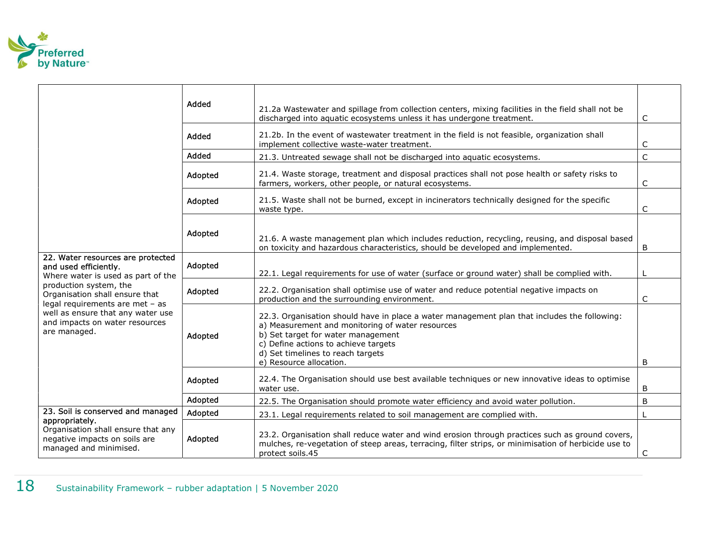

|                                                                                                                                                                                                                                                                                        |                                                                                                                 | Added                                                                                                                                                                                                                                                                                          | 21.2a Wastewater and spillage from collection centers, mixing facilities in the field shall not be<br>discharged into aquatic ecosystems unless it has undergone treatment.                                                 | $\mathsf C$ |  |
|----------------------------------------------------------------------------------------------------------------------------------------------------------------------------------------------------------------------------------------------------------------------------------------|-----------------------------------------------------------------------------------------------------------------|------------------------------------------------------------------------------------------------------------------------------------------------------------------------------------------------------------------------------------------------------------------------------------------------|-----------------------------------------------------------------------------------------------------------------------------------------------------------------------------------------------------------------------------|-------------|--|
|                                                                                                                                                                                                                                                                                        |                                                                                                                 | Added                                                                                                                                                                                                                                                                                          | 21.2b. In the event of wastewater treatment in the field is not feasible, organization shall<br>implement collective waste-water treatment.                                                                                 | $\mathsf C$ |  |
|                                                                                                                                                                                                                                                                                        |                                                                                                                 | Added                                                                                                                                                                                                                                                                                          | 21.3. Untreated sewage shall not be discharged into aquatic ecosystems.                                                                                                                                                     | $\mathsf C$ |  |
|                                                                                                                                                                                                                                                                                        | Adopted                                                                                                         | 21.4. Waste storage, treatment and disposal practices shall not pose health or safety risks to<br>farmers, workers, other people, or natural ecosystems.                                                                                                                                       | $\mathsf{C}$                                                                                                                                                                                                                |             |  |
|                                                                                                                                                                                                                                                                                        |                                                                                                                 | Adopted                                                                                                                                                                                                                                                                                        | 21.5. Waste shall not be burned, except in incinerators technically designed for the specific<br>waste type.                                                                                                                | $\mathsf C$ |  |
|                                                                                                                                                                                                                                                                                        |                                                                                                                 | Adopted                                                                                                                                                                                                                                                                                        | 21.6. A waste management plan which includes reduction, recycling, reusing, and disposal based<br>on toxicity and hazardous characteristics, should be developed and implemented.                                           | B           |  |
| 22. Water resources are protected<br>and used efficiently.<br>Where water is used as part of the<br>production system, the<br>Organisation shall ensure that<br>legal requirements are met - as<br>well as ensure that any water use<br>and impacts on water resources<br>are managed. |                                                                                                                 | Adopted                                                                                                                                                                                                                                                                                        | 22.1. Legal requirements for use of water (surface or ground water) shall be complied with.                                                                                                                                 |             |  |
|                                                                                                                                                                                                                                                                                        |                                                                                                                 | Adopted                                                                                                                                                                                                                                                                                        | 22.2. Organisation shall optimise use of water and reduce potential negative impacts on<br>production and the surrounding environment.                                                                                      | C           |  |
|                                                                                                                                                                                                                                                                                        | Adopted                                                                                                         | 22.3. Organisation should have in place a water management plan that includes the following:<br>a) Measurement and monitoring of water resources<br>b) Set target for water management<br>c) Define actions to achieve targets<br>d) Set timelines to reach targets<br>e) Resource allocation. | B                                                                                                                                                                                                                           |             |  |
|                                                                                                                                                                                                                                                                                        |                                                                                                                 | Adopted                                                                                                                                                                                                                                                                                        | 22.4. The Organisation should use best available techniques or new innovative ideas to optimise<br>water use.                                                                                                               | B           |  |
|                                                                                                                                                                                                                                                                                        |                                                                                                                 | Adopted                                                                                                                                                                                                                                                                                        | 22.5. The Organisation should promote water efficiency and avoid water pollution.                                                                                                                                           | B           |  |
|                                                                                                                                                                                                                                                                                        | 23. Soil is conserved and managed                                                                               | Adopted                                                                                                                                                                                                                                                                                        | 23.1. Legal requirements related to soil management are complied with.                                                                                                                                                      |             |  |
|                                                                                                                                                                                                                                                                                        | appropriately.<br>Organisation shall ensure that any<br>negative impacts on soils are<br>managed and minimised. | Adopted                                                                                                                                                                                                                                                                                        | 23.2. Organisation shall reduce water and wind erosion through practices such as ground covers,<br>mulches, re-vegetation of steep areas, terracing, filter strips, or minimisation of herbicide use to<br>protect soils.45 | C           |  |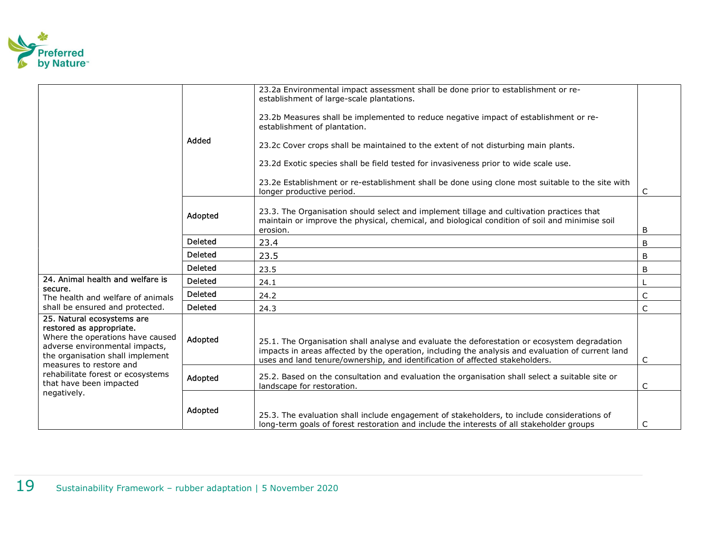

|                                                                                                                                                                                             |                | 23.2a Environmental impact assessment shall be done prior to establishment or re-<br>establishment of large-scale plantations.                                                                                                                                                    |   |
|---------------------------------------------------------------------------------------------------------------------------------------------------------------------------------------------|----------------|-----------------------------------------------------------------------------------------------------------------------------------------------------------------------------------------------------------------------------------------------------------------------------------|---|
|                                                                                                                                                                                             |                | 23.2b Measures shall be implemented to reduce negative impact of establishment or re-<br>establishment of plantation.                                                                                                                                                             |   |
|                                                                                                                                                                                             | Added          | 23.2c Cover crops shall be maintained to the extent of not disturbing main plants.                                                                                                                                                                                                |   |
|                                                                                                                                                                                             |                | 23.2d Exotic species shall be field tested for invasiveness prior to wide scale use.                                                                                                                                                                                              |   |
|                                                                                                                                                                                             |                | 23.2e Establishment or re-establishment shall be done using clone most suitable to the site with<br>longer productive period.                                                                                                                                                     | C |
|                                                                                                                                                                                             | Adopted        | 23.3. The Organisation should select and implement tillage and cultivation practices that<br>maintain or improve the physical, chemical, and biological condition of soil and minimise soil<br>erosion.                                                                           | B |
|                                                                                                                                                                                             | <b>Deleted</b> | 23.4                                                                                                                                                                                                                                                                              | B |
|                                                                                                                                                                                             | <b>Deleted</b> | 23.5                                                                                                                                                                                                                                                                              | B |
|                                                                                                                                                                                             | <b>Deleted</b> | 23.5                                                                                                                                                                                                                                                                              | B |
| 24. Animal health and welfare is                                                                                                                                                            | <b>Deleted</b> | 24.1                                                                                                                                                                                                                                                                              |   |
| secure.<br>The health and welfare of animals                                                                                                                                                | <b>Deleted</b> | 24.2                                                                                                                                                                                                                                                                              | C |
| shall be ensured and protected.                                                                                                                                                             | <b>Deleted</b> | 24.3                                                                                                                                                                                                                                                                              | C |
| 25. Natural ecosystems are<br>restored as appropriate.<br>Where the operations have caused<br>adverse environmental impacts,<br>the organisation shall implement<br>measures to restore and | Adopted        | 25.1. The Organisation shall analyse and evaluate the deforestation or ecosystem degradation<br>impacts in areas affected by the operation, including the analysis and evaluation of current land<br>uses and land tenure/ownership, and identification of affected stakeholders. | C |
| rehabilitate forest or ecosystems<br>that have been impacted<br>negatively.                                                                                                                 | Adopted        | 25.2. Based on the consultation and evaluation the organisation shall select a suitable site or<br>landscape for restoration.                                                                                                                                                     | C |
|                                                                                                                                                                                             | Adopted        | 25.3. The evaluation shall include engagement of stakeholders, to include considerations of<br>long-term goals of forest restoration and include the interests of all stakeholder groups                                                                                          | C |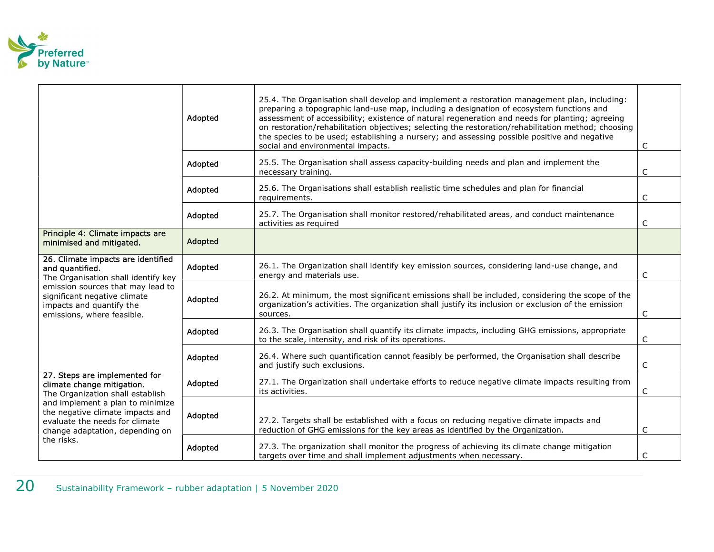

|                                                                                                                                                         | Adopted | 25.4. The Organisation shall develop and implement a restoration management plan, including:<br>preparing a topographic land-use map, including a designation of ecosystem functions and<br>assessment of accessibility; existence of natural regeneration and needs for planting; agreeing<br>on restoration/rehabilitation objectives; selecting the restoration/rehabilitation method; choosing<br>the species to be used; establishing a nursery; and assessing possible positive and negative<br>social and environmental impacts. | C            |
|---------------------------------------------------------------------------------------------------------------------------------------------------------|---------|-----------------------------------------------------------------------------------------------------------------------------------------------------------------------------------------------------------------------------------------------------------------------------------------------------------------------------------------------------------------------------------------------------------------------------------------------------------------------------------------------------------------------------------------|--------------|
|                                                                                                                                                         | Adopted | 25.5. The Organisation shall assess capacity-building needs and plan and implement the<br>necessary training.                                                                                                                                                                                                                                                                                                                                                                                                                           | C            |
|                                                                                                                                                         | Adopted | 25.6. The Organisations shall establish realistic time schedules and plan for financial<br>requirements.                                                                                                                                                                                                                                                                                                                                                                                                                                | C            |
|                                                                                                                                                         | Adopted | 25.7. The Organisation shall monitor restored/rehabilitated areas, and conduct maintenance<br>activities as required                                                                                                                                                                                                                                                                                                                                                                                                                    | C            |
| Principle 4: Climate impacts are<br>minimised and mitigated.                                                                                            | Adopted |                                                                                                                                                                                                                                                                                                                                                                                                                                                                                                                                         |              |
| 26. Climate impacts are identified<br>and quantified.<br>The Organisation shall identify key                                                            | Adopted | 26.1. The Organization shall identify key emission sources, considering land-use change, and<br>energy and materials use.                                                                                                                                                                                                                                                                                                                                                                                                               | C            |
| emission sources that may lead to<br>significant negative climate<br>impacts and quantify the<br>emissions, where feasible.                             | Adopted | 26.2. At minimum, the most significant emissions shall be included, considering the scope of the<br>organization's activities. The organization shall justify its inclusion or exclusion of the emission<br>sources.                                                                                                                                                                                                                                                                                                                    | C            |
|                                                                                                                                                         | Adopted | 26.3. The Organisation shall quantify its climate impacts, including GHG emissions, appropriate<br>to the scale, intensity, and risk of its operations.                                                                                                                                                                                                                                                                                                                                                                                 | $\mathsf{C}$ |
|                                                                                                                                                         | Adopted | 26.4. Where such quantification cannot feasibly be performed, the Organisation shall describe<br>and justify such exclusions.                                                                                                                                                                                                                                                                                                                                                                                                           | $\mathsf{C}$ |
| 27. Steps are implemented for<br>climate change mitigation.<br>The Organization shall establish                                                         | Adopted | 27.1. The Organization shall undertake efforts to reduce negative climate impacts resulting from<br>its activities.                                                                                                                                                                                                                                                                                                                                                                                                                     | C            |
| and implement a plan to minimize<br>the negative climate impacts and<br>evaluate the needs for climate<br>change adaptation, depending on<br>the risks. | Adopted | 27.2. Targets shall be established with a focus on reducing negative climate impacts and<br>reduction of GHG emissions for the key areas as identified by the Organization.                                                                                                                                                                                                                                                                                                                                                             | C            |
|                                                                                                                                                         | Adopted | 27.3. The organization shall monitor the progress of achieving its climate change mitigation<br>targets over time and shall implement adjustments when necessary.                                                                                                                                                                                                                                                                                                                                                                       | $\subset$    |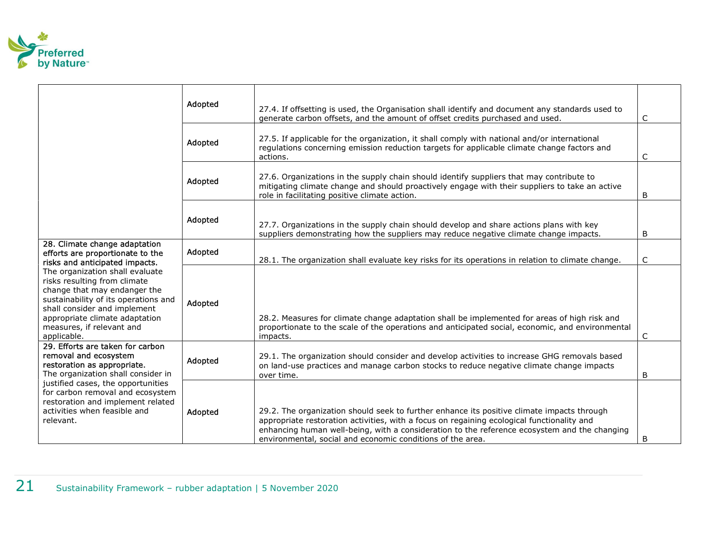

|                                                                                                                                                                                                                                                       | Adopted | 27.4. If offsetting is used, the Organisation shall identify and document any standards used to<br>generate carbon offsets, and the amount of offset credits purchased and used.                                                                                                                                                                       | C            |
|-------------------------------------------------------------------------------------------------------------------------------------------------------------------------------------------------------------------------------------------------------|---------|--------------------------------------------------------------------------------------------------------------------------------------------------------------------------------------------------------------------------------------------------------------------------------------------------------------------------------------------------------|--------------|
|                                                                                                                                                                                                                                                       | Adopted | 27.5. If applicable for the organization, it shall comply with national and/or international<br>regulations concerning emission reduction targets for applicable climate change factors and<br>actions.                                                                                                                                                | C            |
|                                                                                                                                                                                                                                                       | Adopted | 27.6. Organizations in the supply chain should identify suppliers that may contribute to<br>mitigating climate change and should proactively engage with their suppliers to take an active<br>role in facilitating positive climate action.                                                                                                            | B            |
|                                                                                                                                                                                                                                                       | Adopted | 27.7. Organizations in the supply chain should develop and share actions plans with key<br>suppliers demonstrating how the suppliers may reduce negative climate change impacts.                                                                                                                                                                       | B            |
| 28. Climate change adaptation<br>efforts are proportionate to the<br>risks and anticipated impacts.                                                                                                                                                   | Adopted | 28.1. The organization shall evaluate key risks for its operations in relation to climate change.                                                                                                                                                                                                                                                      | C            |
| The organization shall evaluate<br>risks resulting from climate<br>change that may endanger the<br>sustainability of its operations and<br>shall consider and implement<br>appropriate climate adaptation<br>measures, if relevant and<br>applicable. | Adopted | 28.2. Measures for climate change adaptation shall be implemented for areas of high risk and<br>proportionate to the scale of the operations and anticipated social, economic, and environmental<br>impacts.                                                                                                                                           | C            |
| 29. Efforts are taken for carbon<br>removal and ecosystem<br>restoration as appropriate.<br>The organization shall consider in                                                                                                                        | Adopted | 29.1. The organization should consider and develop activities to increase GHG removals based<br>on land-use practices and manage carbon stocks to reduce negative climate change impacts<br>over time.                                                                                                                                                 | B            |
| justified cases, the opportunities<br>for carbon removal and ecosystem<br>restoration and implement related<br>activities when feasible and<br>relevant.                                                                                              | Adopted | 29.2. The organization should seek to further enhance its positive climate impacts through<br>appropriate restoration activities, with a focus on regaining ecological functionality and<br>enhancing human well-being, with a consideration to the reference ecosystem and the changing<br>environmental, social and economic conditions of the area. | <sub>B</sub> |